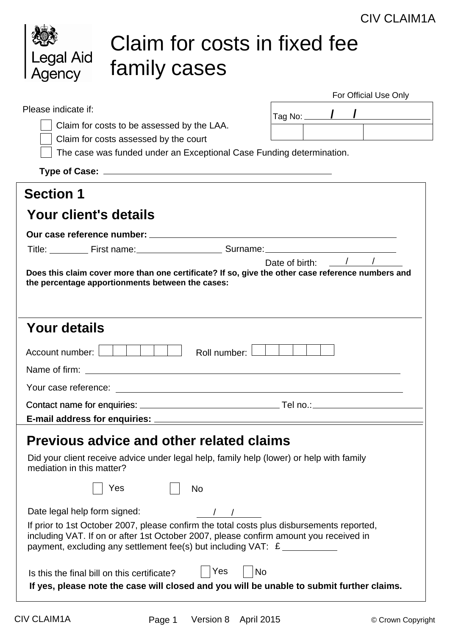|                                             |                                                                                                                                                                                                                                                                          | UIV ULAINTA                                         |
|---------------------------------------------|--------------------------------------------------------------------------------------------------------------------------------------------------------------------------------------------------------------------------------------------------------------------------|-----------------------------------------------------|
| Legal Aid<br>Agency                         | Claim for costs in fixed fee<br>family cases                                                                                                                                                                                                                             |                                                     |
|                                             |                                                                                                                                                                                                                                                                          | For Official Use Only                               |
| Please indicate if:                         | Claim for costs to be assessed by the LAA.<br>Claim for costs assessed by the court<br>The case was funded under an Exceptional Case Funding determination.                                                                                                              | Tag No: _____ $\bm{\int}$ $\bm{\int}$ $\bm{\Gamma}$ |
|                                             |                                                                                                                                                                                                                                                                          |                                                     |
| <b>Section 1</b>                            |                                                                                                                                                                                                                                                                          |                                                     |
| Your client's details                       |                                                                                                                                                                                                                                                                          |                                                     |
|                                             |                                                                                                                                                                                                                                                                          |                                                     |
|                                             | Title: First name: Surname: Surname:                                                                                                                                                                                                                                     |                                                     |
|                                             | Does this claim cover more than one certificate? If so, give the other case reference numbers and<br>the percentage apportionments between the cases:                                                                                                                    | Date of birth: $\frac{1}{2}$ /                      |
| <b>Your details</b>                         |                                                                                                                                                                                                                                                                          |                                                     |
| Account number:                             | Roll number:                                                                                                                                                                                                                                                             |                                                     |
|                                             |                                                                                                                                                                                                                                                                          |                                                     |
|                                             |                                                                                                                                                                                                                                                                          |                                                     |
|                                             |                                                                                                                                                                                                                                                                          |                                                     |
|                                             |                                                                                                                                                                                                                                                                          |                                                     |
|                                             | <b>Previous advice and other related claims</b>                                                                                                                                                                                                                          |                                                     |
| mediation in this matter?                   | Did your client receive advice under legal help, family help (lower) or help with family                                                                                                                                                                                 |                                                     |
|                                             | Yes<br><b>No</b>                                                                                                                                                                                                                                                         |                                                     |
| Date legal help form signed:                | If prior to 1st October 2007, please confirm the total costs plus disbursements reported,<br>including VAT. If on or after 1st October 2007, please confirm amount you received in<br>payment, excluding any settlement fee(s) but including $VAT: E$ __________________ |                                                     |
| Is this the final bill on this certificate? | Yes<br><b>No</b><br>If yes, please note the case will closed and you will be unable to submit further claims.                                                                                                                                                            |                                                     |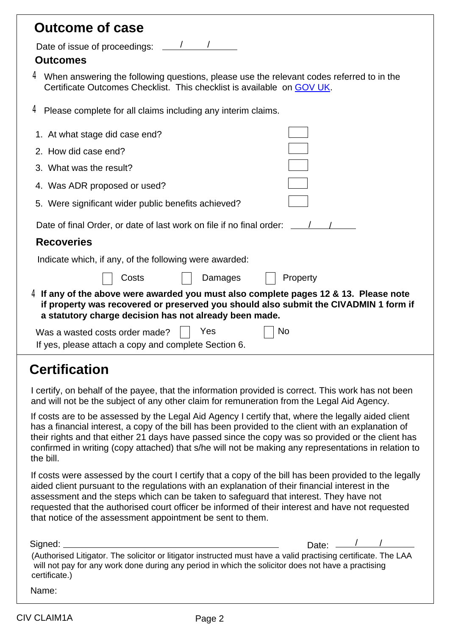### **Outcome of case**

Date of issue of proceedings: / /

#### **Outcomes**

 $4\,$  When answering the following questions, please use the relevant codes referred to in the Certificate Outcomes Checklist. This checklist is available on [GOV UK](https://www.gov.uk/government/publications/outcome-expert-and-claiming-codes).

4 Please complete for all claims including any interim claims.

| 1. At what stage did case end?                                                                                                                                                                                                           |  |  |  |  |  |  |  |
|------------------------------------------------------------------------------------------------------------------------------------------------------------------------------------------------------------------------------------------|--|--|--|--|--|--|--|
| 2. How did case end?                                                                                                                                                                                                                     |  |  |  |  |  |  |  |
| 3. What was the result?                                                                                                                                                                                                                  |  |  |  |  |  |  |  |
| 4. Was ADR proposed or used?                                                                                                                                                                                                             |  |  |  |  |  |  |  |
| 5. Were significant wider public benefits achieved?                                                                                                                                                                                      |  |  |  |  |  |  |  |
| Date of final Order, or date of last work on file if no final order:                                                                                                                                                                     |  |  |  |  |  |  |  |
| <b>Recoveries</b>                                                                                                                                                                                                                        |  |  |  |  |  |  |  |
| Indicate which, if any, of the following were awarded:                                                                                                                                                                                   |  |  |  |  |  |  |  |
| Property<br>Damages<br>Costs                                                                                                                                                                                                             |  |  |  |  |  |  |  |
| $4$ If any of the above were awarded you must also complete pages 12 & 13. Please note<br>if property was recovered or preserved you should also submit the CIVADMIN 1 form if<br>a statutory charge decision has not already been made. |  |  |  |  |  |  |  |
| Yes<br>No<br>Was a wasted costs order made?<br>If yes, please attach a copy and complete Section 6.                                                                                                                                      |  |  |  |  |  |  |  |
| <b>Certification</b>                                                                                                                                                                                                                     |  |  |  |  |  |  |  |
| I certify, on behalf of the payee, that the information provided is correct. This work has not been<br>and will not be the subject of any other claim for remuneration from the Legal Aid Agency.                                        |  |  |  |  |  |  |  |

If costs are to be assessed by the Legal Aid Agency I certify that, where the legally aided client has a financial interest, a copy of the bill has been provided to the client with an explanation of their rights and that either 21 days have passed since the copy was so provided or the client has confirmed in writing (copy attached) that s/he will not be making any representations in relation to the bill.

If costs were assessed by the court I certify that a copy of the bill has been provided to the legally aided client pursuant to the regulations with an explanation of their financial interest in the assessment and the steps which can be taken to safeguard that interest. They have not requested that the authorised court officer be informed of their interest and have not requested that notice of the assessment appointment be sent to them.

| Signed: __                                                                                                     | Date: $\frac{1}{1}$ |  |
|----------------------------------------------------------------------------------------------------------------|---------------------|--|
| (Authorised Litigator. The solicitor or litigator instructed must have a valid practising certificate. The LAA |                     |  |
| will not pay for any work done during any period in which the solicitor does not have a practising             |                     |  |
| certificate.)                                                                                                  |                     |  |

Name: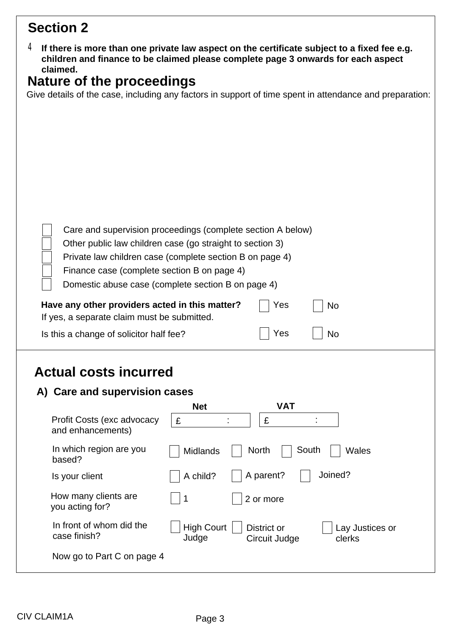# **Section 2**

| $4\,$ If there is more than one private law aspect on the certificate subject to a fixed fee e.g. |
|---------------------------------------------------------------------------------------------------|
| children and finance to be claimed please complete page 3 onwards for each aspect                 |
| claimed.                                                                                          |

### **Nature of the proceedings**

Give details of the case, including any factors in support of time spent in attendance and preparation:

| Finance case (complete section B on page 4)     | Care and supervision proceedings (complete section A below)<br>Other public law children case (go straight to section 3)<br>Private law children case (complete section B on page 4)<br>Domestic abuse case (complete section B on page 4) |  |  |  |  |  |
|-------------------------------------------------|--------------------------------------------------------------------------------------------------------------------------------------------------------------------------------------------------------------------------------------------|--|--|--|--|--|
|                                                 | Have any other providers acted in this matter?<br>Yes<br><b>No</b><br>If yes, a separate claim must be submitted.                                                                                                                          |  |  |  |  |  |
| Is this a change of solicitor half fee?         | Yes<br><b>No</b>                                                                                                                                                                                                                           |  |  |  |  |  |
| <b>Actual costs incurred</b>                    |                                                                                                                                                                                                                                            |  |  |  |  |  |
| A) Care and supervision cases                   |                                                                                                                                                                                                                                            |  |  |  |  |  |
|                                                 | <b>VAT</b><br><b>Net</b>                                                                                                                                                                                                                   |  |  |  |  |  |
| Profit Costs (exc advocacy<br>and enhancements) | £<br>£                                                                                                                                                                                                                                     |  |  |  |  |  |
| In which region are you<br>based?               | South<br><b>North</b><br>Midlands<br>Wales                                                                                                                                                                                                 |  |  |  |  |  |
| Is your client                                  | Joined?<br>A parent?<br>A child?                                                                                                                                                                                                           |  |  |  |  |  |
| How many clients are<br>you acting for?         | 1<br>2 or more                                                                                                                                                                                                                             |  |  |  |  |  |

High Court | District or

Circuit Judge

Lay Justices or

clerks

Now go to Part C on page 4

In front of whom did the

case finish?

Judge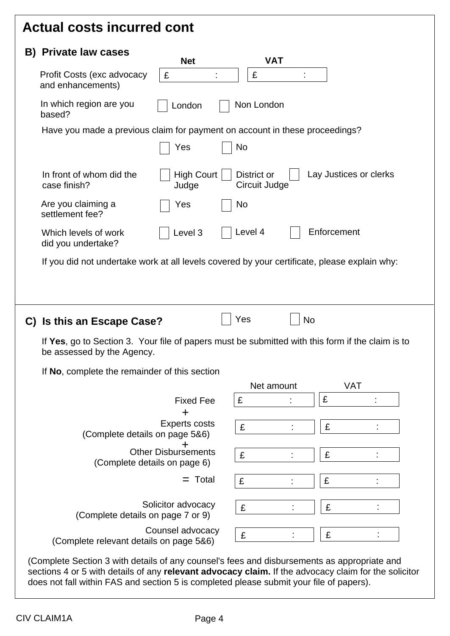## **Actual costs incurred cont**

| B) Private law cases                                                                                                           | <b>Net</b>                                                 | <b>VAT</b>                   |             |                        |
|--------------------------------------------------------------------------------------------------------------------------------|------------------------------------------------------------|------------------------------|-------------|------------------------|
| Profit Costs (exc advocacy<br>and enhancements)                                                                                | £                                                          | £                            |             |                        |
| In which region are you<br>based?                                                                                              | London                                                     | Non London                   |             |                        |
| Have you made a previous claim for payment on account in these proceedings?                                                    |                                                            |                              |             |                        |
|                                                                                                                                | Yes                                                        | <b>No</b>                    |             |                        |
| In front of whom did the<br>case finish?                                                                                       | <b>High Court</b><br>Judge                                 | District or<br>Circuit Judge |             | Lay Justices or clerks |
| Are you claiming a<br>settlement fee?                                                                                          | Yes                                                        | No                           |             |                        |
| Which levels of work<br>did you undertake?                                                                                     | Level 3                                                    | Level 4                      | Enforcement |                        |
|                                                                                                                                |                                                            |                              |             |                        |
| If you did not undertake work at all levels covered by your certificate, please explain why:                                   |                                                            | Yes                          | <b>No</b>   |                        |
| If Yes, go to Section 3. Your file of papers must be submitted with this form if the claim is to<br>be assessed by the Agency. |                                                            |                              |             |                        |
| If No, complete the remainder of this section                                                                                  |                                                            |                              |             |                        |
|                                                                                                                                |                                                            | Net amount                   |             | <b>VAT</b>             |
|                                                                                                                                | <b>Fixed Fee</b>                                           | £                            | £           |                        |
| C) Is this an Escape Case?<br>(Complete details on page 5&6)                                                                   | <b>Experts costs</b>                                       | £                            | £           |                        |
|                                                                                                                                | <b>Other Disbursements</b><br>(Complete details on page 6) | £                            | £           |                        |
|                                                                                                                                | $=$ Total                                                  | £                            | £           |                        |
| (Complete details on page 7 or 9)                                                                                              | Solicitor advocacy                                         | £                            | £           |                        |

does not fall within FAS and section 5 is completed please submit your file of papers).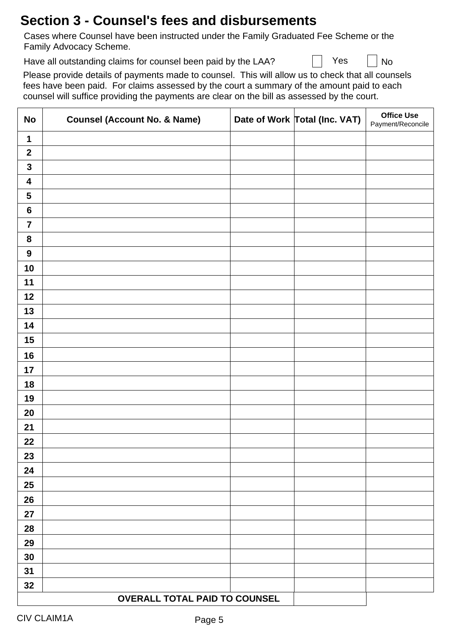## **Section 3 - Counsel's fees and disbursements**

Cases where Counsel have been instructed under the Family Graduated Fee Scheme or the Family Advocacy Scheme.

Have all outstanding claims for counsel been paid by the LAA?  $\blacksquare$  Yes  $\blacksquare$  No

Please provide details of payments made to counsel. This will allow us to check that all counsels fees have been paid. For claims assessed by the court a summary of the amount paid to each counsel will suffice providing the payments are clear on the bill as assessed by the court.

| <b>No</b>               | <b>Counsel (Account No. &amp; Name)</b> | Date of Work Total (Inc. VAT) | <b>Office Use</b><br>Payment/Reconcile |
|-------------------------|-----------------------------------------|-------------------------------|----------------------------------------|
| 1                       |                                         |                               |                                        |
| $\mathbf{2}$            |                                         |                               |                                        |
| $\mathbf{3}$            |                                         |                               |                                        |
| $\overline{\mathbf{4}}$ |                                         |                               |                                        |
| $\overline{\mathbf{5}}$ |                                         |                               |                                        |
| $\bf 6$                 |                                         |                               |                                        |
| $\overline{7}$          |                                         |                               |                                        |
| ${\bf 8}$               |                                         |                               |                                        |
| $\boldsymbol{9}$        |                                         |                               |                                        |
| 10                      |                                         |                               |                                        |
| 11                      |                                         |                               |                                        |
| 12                      |                                         |                               |                                        |
| 13                      |                                         |                               |                                        |
| 14                      |                                         |                               |                                        |
| 15                      |                                         |                               |                                        |
| 16                      |                                         |                               |                                        |
| 17                      |                                         |                               |                                        |
| 18                      |                                         |                               |                                        |
| 19                      |                                         |                               |                                        |
| 20                      |                                         |                               |                                        |
| 21                      |                                         |                               |                                        |
| 22                      |                                         |                               |                                        |
| 23                      |                                         |                               |                                        |
| 24                      |                                         |                               |                                        |
| 25                      |                                         |                               |                                        |
| 26                      |                                         |                               |                                        |
| 27                      |                                         |                               |                                        |
| 28                      |                                         |                               |                                        |
| 29                      |                                         |                               |                                        |
| 30                      |                                         |                               |                                        |
| 31                      |                                         |                               |                                        |
| 32                      |                                         |                               |                                        |
|                         | <b>OVERALL TOTAL PAID TO COUNSEL</b>    |                               |                                        |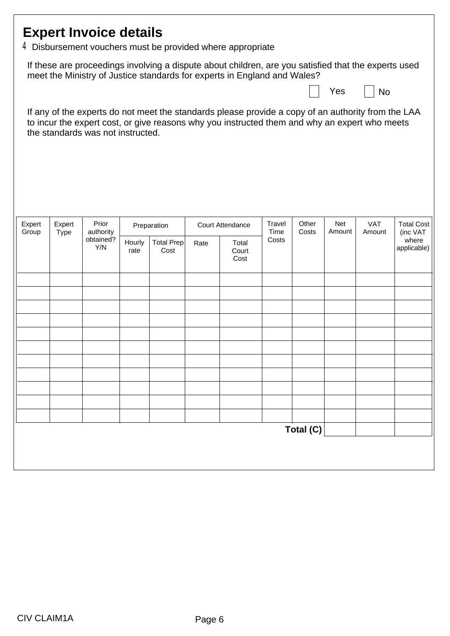| <b>Expert Invoice details</b><br>$4$ Disbursement vouchers must be provided where appropriate |             |                                   |                |                           |      |                                                                                                                                                                                                     |               |           |        |            |                                  |
|-----------------------------------------------------------------------------------------------|-------------|-----------------------------------|----------------|---------------------------|------|-----------------------------------------------------------------------------------------------------------------------------------------------------------------------------------------------------|---------------|-----------|--------|------------|----------------------------------|
|                                                                                               |             |                                   |                |                           |      | If these are proceedings involving a dispute about children, are you satisfied that the experts used<br>meet the Ministry of Justice standards for experts in England and Wales?                    |               |           | Yes    | No         |                                  |
|                                                                                               |             | the standards was not instructed. |                |                           |      | If any of the experts do not meet the standards please provide a copy of an authority from the LAA<br>to incur the expert cost, or give reasons why you instructed them and why an expert who meets |               |           |        |            |                                  |
| Expert                                                                                        | Expert      | Prior                             |                | Preparation               |      | <b>Court Attendance</b>                                                                                                                                                                             | Travel        | Other     | Net    | <b>VAT</b> | <b>Total Cost</b>                |
| Group                                                                                         | <b>Type</b> | authority<br>obtained?<br>Y/N     | Hourly<br>rate | <b>Total Prep</b><br>Cost | Rate | Total<br>Court<br>Cost                                                                                                                                                                              | Time<br>Costs | Costs     | Amount | Amount     | (inc VAT<br>where<br>applicable) |
|                                                                                               |             |                                   |                |                           |      |                                                                                                                                                                                                     |               |           |        |            |                                  |
|                                                                                               |             |                                   |                |                           |      |                                                                                                                                                                                                     |               |           |        |            |                                  |
|                                                                                               |             |                                   |                |                           |      |                                                                                                                                                                                                     |               |           |        |            |                                  |
|                                                                                               |             |                                   |                |                           |      |                                                                                                                                                                                                     |               |           |        |            |                                  |
|                                                                                               |             |                                   |                |                           |      |                                                                                                                                                                                                     |               |           |        |            |                                  |
|                                                                                               |             |                                   |                |                           |      |                                                                                                                                                                                                     |               |           |        |            |                                  |
|                                                                                               |             |                                   |                |                           |      |                                                                                                                                                                                                     |               |           |        |            |                                  |
|                                                                                               |             |                                   |                |                           |      |                                                                                                                                                                                                     |               | Total (C) |        |            |                                  |
|                                                                                               |             |                                   |                |                           |      |                                                                                                                                                                                                     |               |           |        |            |                                  |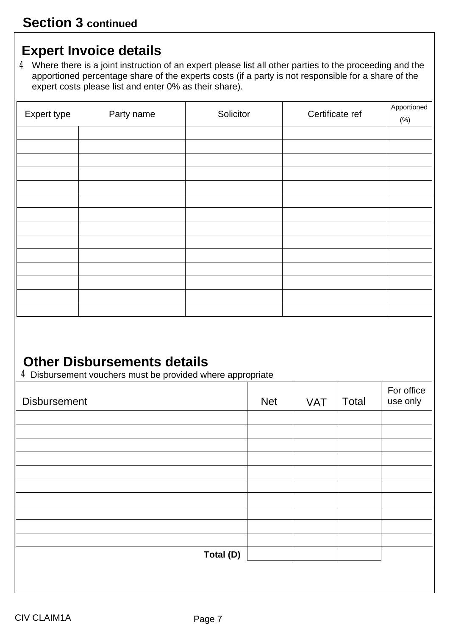# **Expert Invoice details**

4 Where there is a joint instruction of an expert please list all other parties to the proceeding and the apportioned percentage share of the experts costs (if a party is not responsible for a share of the expert costs please list and enter 0% as their share).

| Expert type | Party name | Solicitor | Certificate ref | Apportioned<br>(%) |
|-------------|------------|-----------|-----------------|--------------------|
|             |            |           |                 |                    |
|             |            |           |                 |                    |
|             |            |           |                 |                    |
|             |            |           |                 |                    |
|             |            |           |                 |                    |
|             |            |           |                 |                    |
|             |            |           |                 |                    |
|             |            |           |                 |                    |
|             |            |           |                 |                    |
|             |            |           |                 |                    |
|             |            |           |                 |                    |
|             |            |           |                 |                    |
|             |            |           |                 |                    |
|             |            |           |                 |                    |

# **Other Disbursements details**

4Disbursement vouchers must be provided where appropriate

| <b>Disbursement</b> | <b>Net</b> | <b>VAT</b> | Total | For office<br>use only |
|---------------------|------------|------------|-------|------------------------|
|                     |            |            |       |                        |
|                     |            |            |       |                        |
|                     |            |            |       |                        |
|                     |            |            |       |                        |
|                     |            |            |       |                        |
|                     |            |            |       |                        |
|                     |            |            |       |                        |
|                     |            |            |       |                        |
|                     |            |            |       |                        |
| Total (D)           |            |            |       |                        |
|                     |            |            |       |                        |
|                     |            |            |       |                        |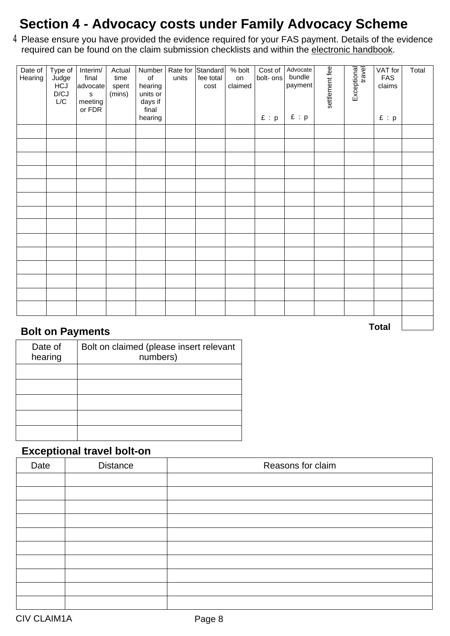# **Section 4 - Advocacy costs under Family Advocacy Scheme**

Please ensure you have provided the evidence required for your FAS payment. Details of the evidence required can be found on the claim submission checklists and within the [electronic handbook.](https://www.gov.uk/funding-and-costs-assessment-for-civil-and-crime-matters )  $4<sub>l</sub>$ 

| Date of<br>Hearing | Type of<br>Judge<br>HCJ<br>D/CJ<br>$L/C$ | Interim/<br>final<br>advocate<br>$\mathbf s$<br>meeting<br>or FDR | Actual<br>time<br>spent<br>(mins) | Number<br>of<br>hearing<br>units or<br>days if<br>final<br>hearing | units | Rate for Standard<br>fee total<br>cost | % bolt<br>on<br>claimed | Cost of<br>bolt- ons<br>E : p | Advocate<br>bundle<br>payment<br>E : p | settlement fee | Exceptional | VAT for<br>FAS<br>claims<br>E : p | Total |
|--------------------|------------------------------------------|-------------------------------------------------------------------|-----------------------------------|--------------------------------------------------------------------|-------|----------------------------------------|-------------------------|-------------------------------|----------------------------------------|----------------|-------------|-----------------------------------|-------|
|                    |                                          |                                                                   |                                   |                                                                    |       |                                        |                         |                               |                                        |                |             |                                   |       |
|                    |                                          |                                                                   |                                   |                                                                    |       |                                        |                         |                               |                                        |                |             |                                   |       |
|                    |                                          |                                                                   |                                   |                                                                    |       |                                        |                         |                               |                                        |                |             |                                   |       |
|                    |                                          |                                                                   |                                   |                                                                    |       |                                        |                         |                               |                                        |                |             |                                   |       |
|                    |                                          |                                                                   |                                   |                                                                    |       |                                        |                         |                               |                                        |                |             |                                   |       |
|                    |                                          |                                                                   |                                   |                                                                    |       |                                        |                         |                               |                                        |                |             |                                   |       |
|                    |                                          |                                                                   |                                   |                                                                    |       |                                        |                         |                               |                                        |                |             |                                   |       |
|                    |                                          |                                                                   |                                   |                                                                    |       |                                        |                         |                               |                                        |                |             |                                   |       |
|                    |                                          |                                                                   |                                   |                                                                    |       |                                        |                         |                               |                                        |                |             |                                   |       |
|                    |                                          |                                                                   |                                   |                                                                    |       |                                        |                         |                               |                                        |                |             |                                   |       |
|                    |                                          |                                                                   |                                   |                                                                    |       |                                        |                         |                               |                                        |                |             |                                   |       |
|                    |                                          |                                                                   |                                   |                                                                    |       |                                        |                         |                               |                                        |                |             |                                   |       |
|                    |                                          |                                                                   |                                   |                                                                    |       |                                        |                         |                               |                                        |                |             |                                   |       |
|                    |                                          |                                                                   |                                   |                                                                    |       |                                        |                         |                               |                                        |                |             |                                   |       |
|                    |                                          | <b>Rolt on Paymonts</b>                                           |                                   |                                                                    |       |                                        |                         |                               |                                        |                |             | <b>Total</b>                      |       |

#### **Bolt on Payments**

| Date of<br>hearing | Bolt on claimed (please insert relevant<br>numbers) |
|--------------------|-----------------------------------------------------|
|                    |                                                     |
|                    |                                                     |
|                    |                                                     |
|                    |                                                     |
|                    |                                                     |

#### **Exceptional travel bolt-on**

| Date | <b>Distance</b> | Reasons for claim |
|------|-----------------|-------------------|
|      |                 |                   |
|      |                 |                   |
|      |                 |                   |
|      |                 |                   |
|      |                 |                   |
|      |                 |                   |
|      |                 |                   |
|      |                 |                   |
|      |                 |                   |
|      |                 |                   |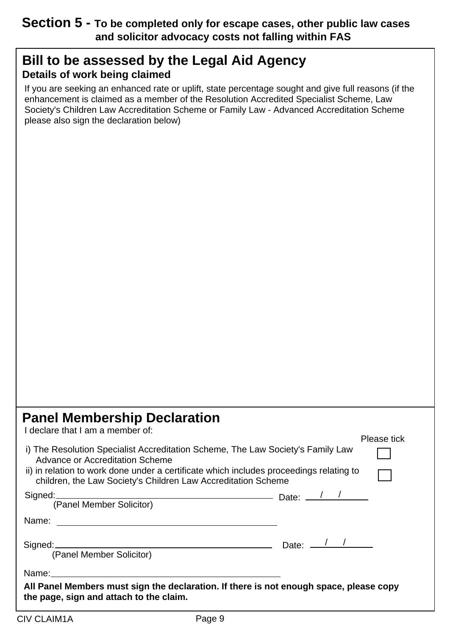### **Section 5 - To be completed only for escape cases, other public law cases and solicitor advocacy costs not falling within FAS**

### **Bill to be assessed by the Legal Aid Agency Details of work being claimed**

If you are seeking an enhanced rate or uplift, state percentage sought and give full reasons (if the enhancement is claimed as a member of the Resolution Accredited Specialist Scheme, Law Society's Children Law Accreditation Scheme or Family Law - Advanced Accreditation Scheme please also sign the declaration below)

### **Panel Membership Declaration**

I declare that I am a member of:

|                                                                                                                                                                                                                                                                                | ו וסמטס נוטו |
|--------------------------------------------------------------------------------------------------------------------------------------------------------------------------------------------------------------------------------------------------------------------------------|--------------|
| i) The Resolution Specialist Accreditation Scheme, The Law Society's Family Law<br>Advance or Accreditation Scheme<br>ii) in relation to work done under a certificate which includes proceedings relating to<br>children, the Law Society's Children Law Accreditation Scheme |              |
|                                                                                                                                                                                                                                                                                |              |
| Signed: Canal Member Solicitor) Date: 2014                                                                                                                                                                                                                                     |              |
|                                                                                                                                                                                                                                                                                |              |
|                                                                                                                                                                                                                                                                                |              |
| Signed: $\frac{1}{2}$ Date: $\frac{1}{2}$ Date: $\frac{1}{2}$                                                                                                                                                                                                                  |              |
| (Panel Member Solicitor)                                                                                                                                                                                                                                                       |              |
| Name: Name:                                                                                                                                                                                                                                                                    |              |
| All Panel Members must sign the declaration. If there is not enough space, please copy<br>the page, sign and attach to the claim.                                                                                                                                              |              |

Please tick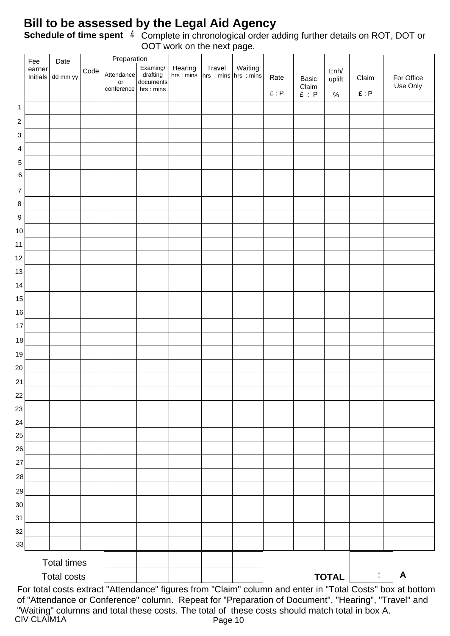### **Bill to be assessed by the Legal Aid Agency**

Complete in chronological order adding further details on ROT, DOT or OOT work on the next page. **Schedule of time spent** 4

|                   | Fee                | Date               |      | Preparation                                 |                                                 |                      | $\sim$                                                                                                                           |              |                                                                            |                        |                                                    |                        |
|-------------------|--------------------|--------------------|------|---------------------------------------------|-------------------------------------------------|----------------------|----------------------------------------------------------------------------------------------------------------------------------|--------------|----------------------------------------------------------------------------|------------------------|----------------------------------------------------|------------------------|
|                   | earner<br>Initials | dd mm yy           | Code | Attendance<br>$\mathsf{or}\,$<br>conference | Examing/<br>drafting<br>documents<br>hrs : mins | Hearing<br>hrs: mins | $\begin{array}{ c c c }\n\hline\n\text{Travel} & \text{Waiting} \\ \text{hrs} : \text{mins} & \text{hrs} \\ \hline\n\end{array}$ | Rate<br>E: P | Basic<br>$\begin{array}{ll}\text{Claim} \\ \text{£}:\ \text{P}\end{array}$ | Enh/<br>uplift<br>$\%$ | Claim<br>$\pmb{\mathfrak{L}}$ : $\pmb{\mathsf{P}}$ | For Office<br>Use Only |
| $\mathbf{1}$      |                    |                    |      |                                             |                                                 |                      |                                                                                                                                  |              |                                                                            |                        |                                                    |                        |
| $\sqrt{2}$        |                    |                    |      |                                             |                                                 |                      |                                                                                                                                  |              |                                                                            |                        |                                                    |                        |
| 3                 |                    |                    |      |                                             |                                                 |                      |                                                                                                                                  |              |                                                                            |                        |                                                    |                        |
| 4                 |                    |                    |      |                                             |                                                 |                      |                                                                                                                                  |              |                                                                            |                        |                                                    |                        |
| $\mathbf 5$       |                    |                    |      |                                             |                                                 |                      |                                                                                                                                  |              |                                                                            |                        |                                                    |                        |
| 6                 |                    |                    |      |                                             |                                                 |                      |                                                                                                                                  |              |                                                                            |                        |                                                    |                        |
| $\boldsymbol{7}$  |                    |                    |      |                                             |                                                 |                      |                                                                                                                                  |              |                                                                            |                        |                                                    |                        |
| $\bf 8$           |                    |                    |      |                                             |                                                 |                      |                                                                                                                                  |              |                                                                            |                        |                                                    |                        |
| $\boldsymbol{9}$  |                    |                    |      |                                             |                                                 |                      |                                                                                                                                  |              |                                                                            |                        |                                                    |                        |
| $10$              |                    |                    |      |                                             |                                                 |                      |                                                                                                                                  |              |                                                                            |                        |                                                    |                        |
| 11                |                    |                    |      |                                             |                                                 |                      |                                                                                                                                  |              |                                                                            |                        |                                                    |                        |
| $12 \overline{ }$ |                    |                    |      |                                             |                                                 |                      |                                                                                                                                  |              |                                                                            |                        |                                                    |                        |
| 13                |                    |                    |      |                                             |                                                 |                      |                                                                                                                                  |              |                                                                            |                        |                                                    |                        |
| 14                |                    |                    |      |                                             |                                                 |                      |                                                                                                                                  |              |                                                                            |                        |                                                    |                        |
| 15                |                    |                    |      |                                             |                                                 |                      |                                                                                                                                  |              |                                                                            |                        |                                                    |                        |
| $16\,$            |                    |                    |      |                                             |                                                 |                      |                                                                                                                                  |              |                                                                            |                        |                                                    |                        |
| $17\,$            |                    |                    |      |                                             |                                                 |                      |                                                                                                                                  |              |                                                                            |                        |                                                    |                        |
| $18$              |                    |                    |      |                                             |                                                 |                      |                                                                                                                                  |              |                                                                            |                        |                                                    |                        |
| 19                |                    |                    |      |                                             |                                                 |                      |                                                                                                                                  |              |                                                                            |                        |                                                    |                        |
| 20                |                    |                    |      |                                             |                                                 |                      |                                                                                                                                  |              |                                                                            |                        |                                                    |                        |
| 21                |                    |                    |      |                                             |                                                 |                      |                                                                                                                                  |              |                                                                            |                        |                                                    |                        |
| 22                |                    |                    |      |                                             |                                                 |                      |                                                                                                                                  |              |                                                                            |                        |                                                    |                        |
| 23                |                    |                    |      |                                             |                                                 |                      |                                                                                                                                  |              |                                                                            |                        |                                                    |                        |
| 24                |                    |                    |      |                                             |                                                 |                      |                                                                                                                                  |              |                                                                            |                        |                                                    |                        |
| 25                |                    |                    |      |                                             |                                                 |                      |                                                                                                                                  |              |                                                                            |                        |                                                    |                        |
| 26                |                    |                    |      |                                             |                                                 |                      |                                                                                                                                  |              |                                                                            |                        |                                                    |                        |
| 27                |                    |                    |      |                                             |                                                 |                      |                                                                                                                                  |              |                                                                            |                        |                                                    |                        |
| 28                |                    |                    |      |                                             |                                                 |                      |                                                                                                                                  |              |                                                                            |                        |                                                    |                        |
| 29                |                    |                    |      |                                             |                                                 |                      |                                                                                                                                  |              |                                                                            |                        |                                                    |                        |
| 30                |                    |                    |      |                                             |                                                 |                      |                                                                                                                                  |              |                                                                            |                        |                                                    |                        |
| 31                |                    |                    |      |                                             |                                                 |                      |                                                                                                                                  |              |                                                                            |                        |                                                    |                        |
| 32<br>33          |                    |                    |      |                                             |                                                 |                      |                                                                                                                                  |              |                                                                            |                        |                                                    |                        |
|                   |                    | <b>Total times</b> |      |                                             |                                                 |                      |                                                                                                                                  |              |                                                                            |                        |                                                    |                        |
|                   |                    | <b>Total costs</b> |      |                                             |                                                 |                      |                                                                                                                                  |              |                                                                            | <b>TOTAL</b>           | ÷                                                  | A                      |

CIV CLAIM1A Page 10 For total costs extract "Attendance" figures from "Claim" column and enter in "Total Costs" box at bottom of "Attendance or Conference" column. Repeat for "Preparation of Document", "Hearing", "Travel" and "Waiting" columns and total these costs. The total of these costs should match total in box A.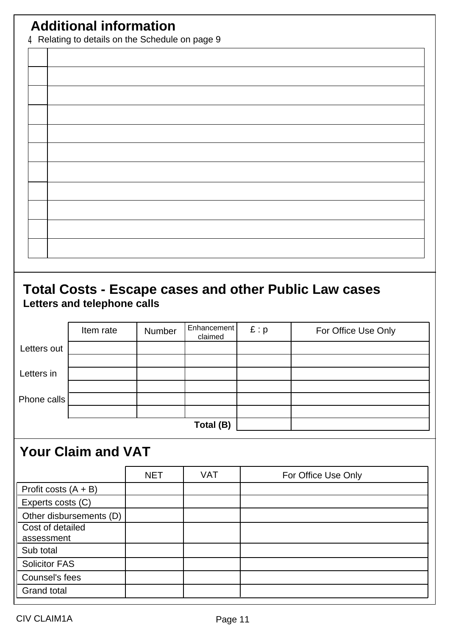# **Additional information**

4 Relating to details on the Schedule on page 9

### **Total Costs - Escape cases and other Public Law cases Letters and telephone calls**

|             | Item rate | Number | Enhancement  <br>claimed | E: p | For Office Use Only |
|-------------|-----------|--------|--------------------------|------|---------------------|
| Letters out |           |        |                          |      |                     |
| Letters in  |           |        |                          |      |                     |
|             |           |        |                          |      |                     |
| Phone calls |           |        |                          |      |                     |
|             |           |        | Total (B)                |      |                     |

# **Your Claim and VAT**

|                                | <b>NET</b> | <b>VAT</b> | For Office Use Only |
|--------------------------------|------------|------------|---------------------|
| Profit costs $(A + B)$         |            |            |                     |
| Experts costs (C)              |            |            |                     |
| Other disbursements (D)        |            |            |                     |
| Cost of detailed<br>assessment |            |            |                     |
| Sub total                      |            |            |                     |
| <b>Solicitor FAS</b>           |            |            |                     |
| Counsel's fees                 |            |            |                     |
| <b>Grand total</b>             |            |            |                     |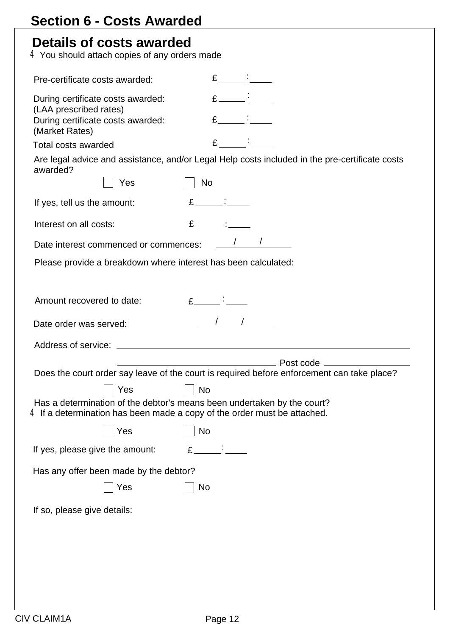|                                          | Details of costs awarded<br>$4$ You should attach copies of any orders made                                                                           |                                                                                                                                                                                                                                                                                                                                         |                |                   |                                                                                                |
|------------------------------------------|-------------------------------------------------------------------------------------------------------------------------------------------------------|-----------------------------------------------------------------------------------------------------------------------------------------------------------------------------------------------------------------------------------------------------------------------------------------------------------------------------------------|----------------|-------------------|------------------------------------------------------------------------------------------------|
| Pre-certificate costs awarded:           |                                                                                                                                                       |                                                                                                                                                                                                                                                                                                                                         |                | $\mathbf{f}$ :    |                                                                                                |
| (LAA prescribed rates)<br>(Market Rates) | During certificate costs awarded:<br>During certificate costs awarded:                                                                                |                                                                                                                                                                                                                                                                                                                                         |                | $E$ $\frac{1}{2}$ |                                                                                                |
| <b>Total costs awarded</b>               |                                                                                                                                                       |                                                                                                                                                                                                                                                                                                                                         | $\mathbf{E}$ : |                   |                                                                                                |
| awarded?                                 |                                                                                                                                                       |                                                                                                                                                                                                                                                                                                                                         |                |                   | Are legal advice and assistance, and/or Legal Help costs included in the pre-certificate costs |
|                                          | Yes                                                                                                                                                   | <b>No</b>                                                                                                                                                                                                                                                                                                                               |                |                   |                                                                                                |
| If yes, tell us the amount:              |                                                                                                                                                       | $E$ $\qquad$ :                                                                                                                                                                                                                                                                                                                          |                |                   |                                                                                                |
| Interest on all costs:                   |                                                                                                                                                       | $E$ $\qquad$ :                                                                                                                                                                                                                                                                                                                          |                |                   |                                                                                                |
|                                          | Date interest commenced or commences:                                                                                                                 |                                                                                                                                                                                                                                                                                                                                         |                |                   |                                                                                                |
|                                          | Please provide a breakdown where interest has been calculated:                                                                                        |                                                                                                                                                                                                                                                                                                                                         |                |                   |                                                                                                |
| Amount recovered to date:                |                                                                                                                                                       | $E$ $\qquad$ $\qquad$ $\qquad$ $\qquad$ $\qquad$ $\qquad$ $\qquad$ $\qquad$ $\qquad$ $\qquad$ $\qquad$ $\qquad$ $\qquad$ $\qquad$ $\qquad$ $\qquad$ $\qquad$ $\qquad$ $\qquad$ $\qquad$ $\qquad$ $\qquad$ $\qquad$ $\qquad$ $\qquad$ $\qquad$ $\qquad$ $\qquad$ $\qquad$ $\qquad$ $\qquad$ $\qquad$ $\qquad$ $\qquad$ $\qquad$ $\qquad$ |                |                   |                                                                                                |
|                                          |                                                                                                                                                       |                                                                                                                                                                                                                                                                                                                                         |                |                   |                                                                                                |
| Date order was served:                   |                                                                                                                                                       |                                                                                                                                                                                                                                                                                                                                         |                |                   |                                                                                                |
|                                          |                                                                                                                                                       |                                                                                                                                                                                                                                                                                                                                         |                |                   |                                                                                                |
|                                          |                                                                                                                                                       |                                                                                                                                                                                                                                                                                                                                         |                |                   |                                                                                                |
|                                          |                                                                                                                                                       |                                                                                                                                                                                                                                                                                                                                         |                |                   | Does the court order say leave of the court is required before enforcement can take place?     |
|                                          | Yes                                                                                                                                                   | No                                                                                                                                                                                                                                                                                                                                      |                |                   |                                                                                                |
|                                          | Has a determination of the debtor's means been undertaken by the court?<br>$4$ If a determination has been made a copy of the order must be attached. |                                                                                                                                                                                                                                                                                                                                         |                |                   |                                                                                                |
|                                          | Yes                                                                                                                                                   | No                                                                                                                                                                                                                                                                                                                                      |                |                   |                                                                                                |
|                                          | If yes, please give the amount:                                                                                                                       | $E_{-}$                                                                                                                                                                                                                                                                                                                                 |                |                   |                                                                                                |
|                                          | Has any offer been made by the debtor?                                                                                                                |                                                                                                                                                                                                                                                                                                                                         |                |                   |                                                                                                |
|                                          | Yes                                                                                                                                                   | No                                                                                                                                                                                                                                                                                                                                      |                |                   |                                                                                                |
| If so, please give details:              |                                                                                                                                                       |                                                                                                                                                                                                                                                                                                                                         |                |                   |                                                                                                |
|                                          |                                                                                                                                                       |                                                                                                                                                                                                                                                                                                                                         |                |                   |                                                                                                |
|                                          |                                                                                                                                                       |                                                                                                                                                                                                                                                                                                                                         |                |                   |                                                                                                |
|                                          |                                                                                                                                                       |                                                                                                                                                                                                                                                                                                                                         |                |                   |                                                                                                |
|                                          |                                                                                                                                                       |                                                                                                                                                                                                                                                                                                                                         |                |                   |                                                                                                |
|                                          |                                                                                                                                                       |                                                                                                                                                                                                                                                                                                                                         |                |                   |                                                                                                |